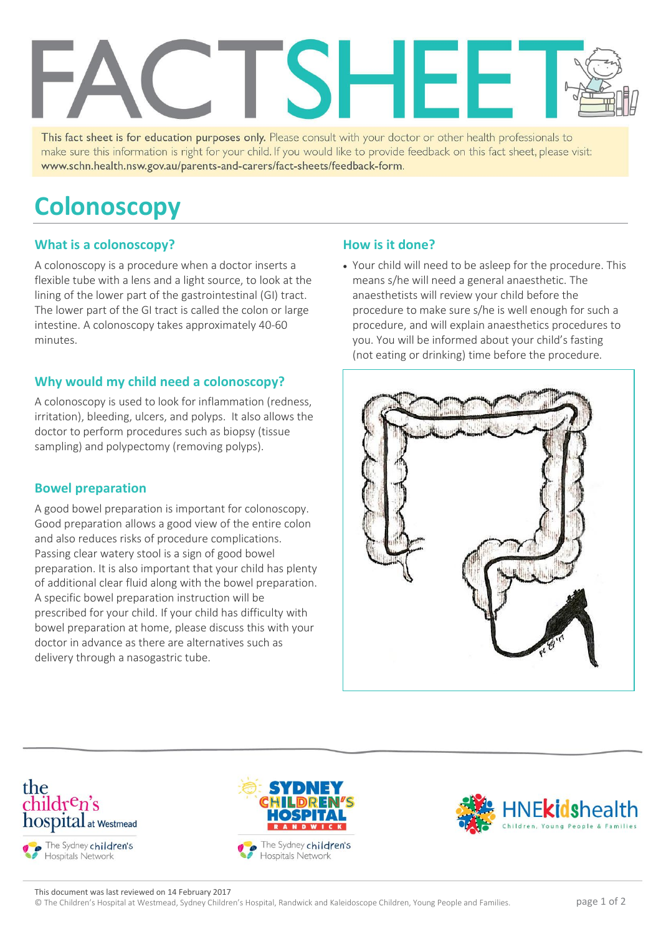

This fact sheet is for education purposes only. Please consult with your doctor or other health professionals to make sure this information is right for your child. If you would like to provide feedback on this fact sheet, please visit: www.schn.health.nsw.gov.au/parents-and-carers/fact-sheets/feedback-form.

# **Colonoscopy**

#### **What is a colonoscopy?**

A colonoscopy is a procedure when a doctor inserts a flexible tube with a lens and a light source, to look at the lining of the lower part of the gastrointestinal (GI) tract. The lower part of the GI tract is called the colon or large intestine. A colonoscopy takes approximately 40-60 minutes.

#### **Why would my child need a colonoscopy?**

A colonoscopy is used to look for inflammation (redness, irritation), bleeding, ulcers, and polyps. It also allows the doctor to perform procedures such as biopsy (tissue sampling) and polypectomy (removing polyps).

#### **Bowel preparation**

A good bowel preparation is important for colonoscopy. Good preparation allows a good view of the entire colon and also reduces risks of procedure complications. Passing clear watery stool is a sign of good bowel preparation. It is also important that your child has plenty of additional clear fluid along with the bowel preparation. A specific bowel preparation instruction will be prescribed for your child. If your child has difficulty with bowel preparation at home, please discuss this with your doctor in advance as there are alternatives such as delivery through a nasogastric tube.

#### **How is it done?**

 Your child will need to be asleep for the procedure. This means s/he will need a general anaesthetic. The anaesthetists will review your child before the procedure to make sure s/he is well enough for such a procedure, and will explain anaesthetics procedures to you. You will be informed about your child's fasting (not eating or drinking) time before the procedure.









This document was last reviewed on 14 February 2017

© The Children's Hospital at Westmead, Sydney Children's Hospital, Randwick and Kaleidoscope Children, Young People and Families. page 1 of 2